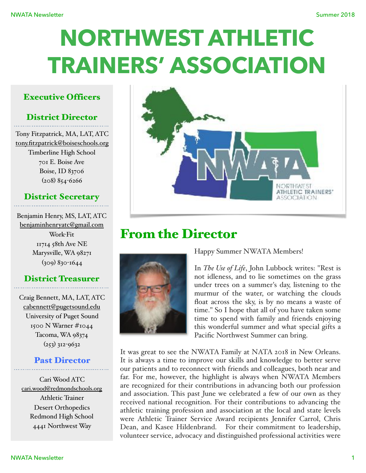# **NORTHWEST ATHLETIC TRAINERS' ASSOCIATION**

### Executive Officers

# District Director

Tony Fitzpatrick, MA, LAT, ATC [tony.fitzpatrick@boiseschools.org](mailto:tony.fitzpatrick@boiseschools.org) Timberline High School 701 E. Boise Ave Boise, ID 83706 (208) 854-6266

# District Secretary

Benjamin Henry, MS, LAT, ATC [benjaminhenryatc@gmail.com](mailto:benjaminhenryatc@gmail.com) Work-Fit 11714 58th Ave NE Marysville, WA 98271 (309) 830-1644

### District Treasurer

Craig Bennett, MA, LAT, ATC [cabennett@pugetsound.edu](mailto:cabennett@pugetsound.edu) University of Puget Sound 1500 N Warner #1044 Tacoma, WA 98374  $(253)$  312-9632

### Past Director

Cari Wood ATC [cari.wood@redmondschools.org](mailto:cari.wood@redmondschools.org) Athletic Trainer Desert Orthopedics Redmond High School 4441 Northwest Way



# From the Director



Happy Summer NWATA Members!

In *The Use of Life*, John Lubbock writes: "Rest is not idleness, and to lie sometimes on the grass under trees on a summer's day, listening to the murmur of the water, or watching the clouds float across the sky, is by no means a waste of time." So I hope that all of you have taken some time to spend with family and friends enjoying this wonderful summer and what special gifts a Pacific Northwest Summer can bring.

It was great to see the NWATA Family at NATA 2018 in New Orleans. It is always a time to improve our skills and knowledge to better serve our patients and to reconnect with friends and colleagues, both near and far. For me, however, the highlight is always when NWATA Members are recognized for their contributions in advancing both our profession and association. This past June we celebrated a few of our own as they received national recognition. For their contributions to advancing the athletic training profession and association at the local and state levels were Athletic Trainer Service Award recipients Jennifer Carrol, Chris Dean, and Kasee Hildenbrand. For their commitment to leadership, volunteer service, advocacy and distinguished professional activities were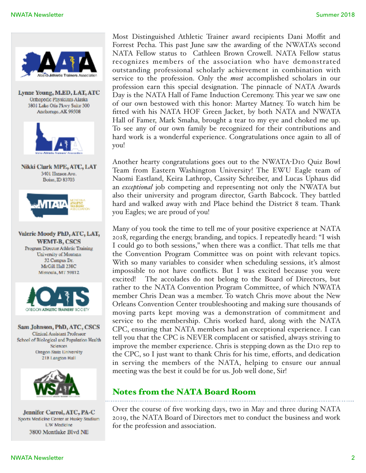

Most Distinguished Athletic Trainer award recipients Dani Moffit and Forrest Pecha. This past June saw the awarding of the NWATA's second NATA Fellow status to Cathleen Brown Crowell. NATA Fellow status recognizes members of the association who have demonstrated outstanding professional scholarly achievement in combination with service to the profession. Only the *most* accomplished scholars in our profession earn this special designation. The pinnacle of NATA Awards Day is the NATA Hall of Fame Induction Ceremony. This year we saw one of our own bestowed with this honor: Martey Matney. To watch him be fitted with his NATA HOF Green Jacket, by both NATA and NWATA Hall of Famer, Mark Smaha, brought a tear to my eye and choked me up. To see any of our own family be recognized for their contributions and hard work is a wonderful experience. Congratulations once again to all of you!

Another hearty congratulations goes out to the NWATA-D10 Quiz Bowl Team from Eastern Washington University! The EWU Eagle team of Naomi Eastland, Keira Lathrop, Cassity Schreiber, and Lucas Uphaus did an *exceptional* job competing and representing not only the NWATA but also their university and program director, Garth Babcock. They battled hard and walked away with 2nd Place behind the District 8 team. Thank you Eagles; we are proud of you!

Many of you took the time to tell me of your positive experience at NATA 2018, regarding the energy, branding, and topics. I repeatedly heard: "I wish I could go to both sessions," when there was a conflict. That tells me that the Convention Program Committee was on point with relevant topics. With so many variables to consider when scheduling sessions, it's almost impossible to not have conflicts. But I was excited because you were excited! The accolades do not belong to the Board of Directors, but rather to the NATA Convention Program Committee, of which NWATA member Chris Dean was a member. To watch Chris move about the New Orleans Convention Center troubleshooting and making sure thousands of moving parts kept moving was a demonstration of commitment and service to the membership. Chris worked hard, along with the NATA CPC, ensuring that NATA members had an exceptional experience. I can tell you that the CPC is NEVER complacent or satisfied, always striving to improve the member experience. Chris is stepping down as the D10 rep to the CPC, so I just want to thank Chris for his time, efforts, and dedication in serving the members of the NATA, helping to ensure our annual meeting was the best it could be for us. Job well done, Sir!

# Notes from the NATA Board Room

Over the course of five working days, two in May and three during NATA 2019, the NATA Board of Directors met to conduct the business and work for the profession and association.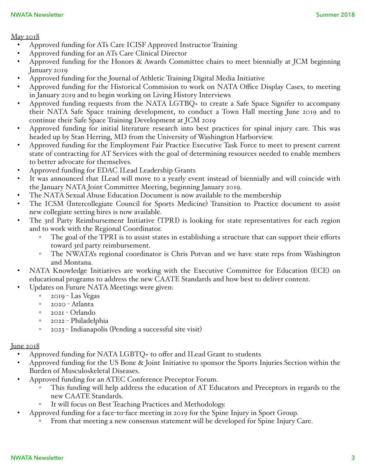#### May 2018

- Approved funding for ATs Care ICISF Approved Instructor Training
- Approved funding for an ATs Care Clinical Director
- Approved funding for the Honors & Awards Committee chairs to meet biennially at JCM beginning January 2019
- Approved funding for the Journal of Athletic Training Digital Media Initiative
- Approved funding for the Historical Commision to work on NATA Office Display Cases, to meeting in January 2019 and to begin working on Living History Interviews
- Approved funding requests from the NATA LGTBQ+ to create a Safe Space Signifer to accompany their NATA Safe Space training development, to conduct a Town Hall meeting June 2019 and to continue their Safe Space Training Development at JCM 2019
- Approved funding for initial literature research into best practices for spinal injury care. This was headed up by Stan Herring, MD from the University of Washington Harborview.
- Approved funding for the Employment Fair Practice Executive Task Force to meet to present current state of contracting for AT Services with the goal of determining resources needed to enable members to better advocate for themselves.
- Approved funding for EDAC ILead Leadership Grants
- It was announced that ILead will move to a yearly event instead of biennially and will coincide with the January NATA Joint Committee Meeting, beginning January 2019.
- The NATA Sexual Abuse Education Document is now available to the membership
- The ICSM (Intercollegiate Council for Sports Medicine) Transition to Practice document to assist new collegiate setting hires is now available.
- The 3rd Party Reimbursement Initiative (TPRI) is looking for state representatives for each region and to work with the Regional Coordinator.
	- The goal of the TPRI is to assist states in establishing a structure that can support their efforts toward 3rd party reimbursement.
	- The NWATA's regional coordinator is Chris Potvan and we have state reps from Washington and Montana.
- NATA Knowledge Initiatives are working with the Executive Committee for Education (ECE) on educational programs to address the new CAATE Standards and how best to deliver content.
- Updates on Future NATA Meetings were given:
	- 2019 Las Vegas
	- 2020 Atlanta
	- 2021 Orlando
	- 2022 Philadelphia
	- 2023 Indianapolis (Pending a successful site visit)

### June 2018

- Approved funding for NATA LGBTQ+ to offer and ILead Grant to students
- Approved funding for the US Bone & Joint Initiative to sponsor the Sports Injuries Section within the Burden of Musculoskeletal Diseases.
- Approved funding for an ATEC Conference Preceptor Forum.
	- This funding will help address the education of AT Educators and Preceptors in regards to the new CAATE Standards.
	- It will focus on Best Teaching Practices and Methodology.
	- Approved funding for a face-to-face meeting in 2019 for the Spine Injury in Sport Group.
		- From that meeting a new consensus statement will be developed for Spine Injury Care.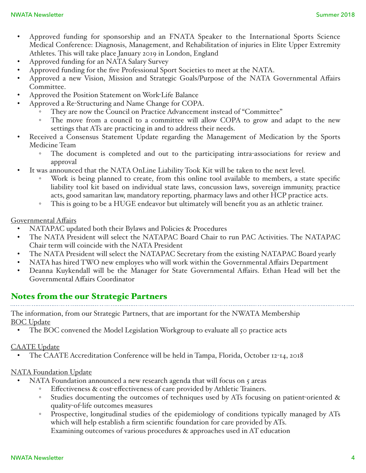- Approved funding for sponsorship and an FNATA Speaker to the International Sports Science Medical Conference: Diagnosis, Management, and Rehabilitation of injuries in Elite Upper Extremity Athletes. This will take place January 2019 in London, England
- Approved funding for an NATA Salary Survey
- Approved funding for the five Professional Sport Societies to meet at the NATA.
- Approved a new Vision, Mission and Strategic Goals/Purpose of the NATA Governmental Affairs Committee.
- Approved the Position Statement on Work-Life Balance
- Approved a Re-Structuring and Name Change for COPA.
	- They are now the Council on Practice Advancement instead of "Committee"
	- The move from a council to a committee will allow COPA to grow and adapt to the new settings that ATs are practicing in and to address their needs.
- Received a Consensus Statement Update regarding the Management of Medication by the Sports Medicine Team
	- The document is completed and out to the participating intra-associations for review and approval
- It was announced that the NATA OnLine Liability Took Kit will be taken to the next level.
	- Work is being planned to create, from this online tool available to members, a state specific liability tool kit based on individual state laws, concussion laws, sovereign immunity, practice acts, good samaritan law, mandatory reporting, pharmacy laws and other HCP practice acts.
	- This is going to be a HUGE endeavor but ultimately will benefit you as an athletic trainer.

#### Governmental Affairs

- NATAPAC updated both their Bylaws and Policies & Procedures
- The NATA President will select the NATAPAC Board Chair to run PAC Activities. The NATAPAC Chair term will coincide with the NATA President
- The NATA President will select the NATAPAC Secretary from the existing NATAPAC Board yearly
- NATA has hired TWO new employes who will work within the Governmental Affairs Department
- Deanna Kuykendall will be the Manager for State Governmental Affairs. Ethan Head will bet the Governmental Affairs Coordinator

# Notes from the our Strategic Partners

The information, from our Strategic Partners, that are important for the NWATA Membership BOC Update

• The BOC convened the Model Legislation Workgroup to evaluate all 50 practice acts

#### CAATE Update

• The CAATE Accreditation Conference will be held in Tampa, Florida, October 12-14, 2018

#### NATA Foundation Update

- NATA Foundation announced a new research agenda that will focus on 5 areas
	- Effectiveness & cost-effectiveness of care provided by Athletic Trainers.
	- Studies documenting the outcomes of techniques used by ATs focusing on patient-oriented & quality-of-life outcomes measures
	- Prospective, longitudinal studies of the epidemiology of conditions typically managed by ATs which will help establish a firm scientific foundation for care provided by ATs. Examining outcomes of various procedures & approaches used in AT education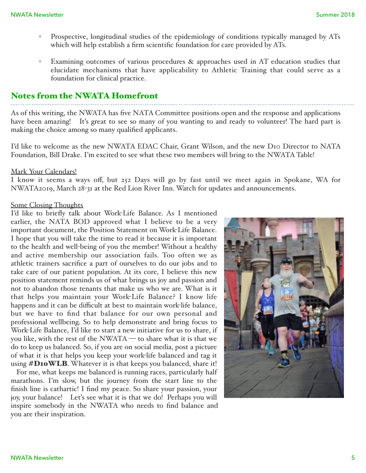- Prospective, longitudinal studies of the epidemiology of conditions typically managed by ATs which will help establish a firm scientific foundation for care provided by ATs.
- Examining outcomes of various procedures & approaches used in AT education studies that elucidate mechanisms that have applicability to Athletic Training that could serve as a foundation for clinical practice.

### Notes from the NWATA Homefront

As of this writing, the NWATA has five NATA Committee positions open and the response and applications have been amazing! It's great to see so many of you wanting to and ready to volunteer! The hard part is making the choice among so many qualified applicants.

I'd like to welcome as the new NWATA EDAC Chair, Grant Wilson, and the new D10 Director to NATA Foundation, Bill Drake. I'm excited to see what these two members will bring to the NWATA Table!

#### Mark Your Calendars!

I know it seems a ways off, but 252 Days will go by fast until we meet again in Spokane, WA for NWATA2019, March 28-31 at the Red Lion River Inn. Watch for updates and announcements.

#### Some Closing Thoughts

I'd like to briefly talk about Work-Life Balance. As I mentioned earlier, the NATA BOD approved what I believe to be a very important document, the Position Statement on Work-Life Balance. I hope that you will take the time to read it because it is important to the health and well-being of you the member! Without a healthy and active membership our association fails. Too often we as athletic trainers sacrifice a part of ourselves to do our jobs and to take care of our patient population. At its core, I believe this new position statement reminds us of what brings us joy and passion and not to abandon those tenants that make us who we are. What is it that helps you maintain your Work-Life Balance? I know life happens and it can be difficult at best to maintain work-life balance, but we have to find that balance for our own personal and professional wellbeing. So to help demonstrate and bring focus to Work-Life Balance, I'd like to start a new initiative for us to share, if you like, with the rest of the NWATA — to share what it is that we do to keep us balanced. So, if you are on social media, post a picture of what it is that helps you keep your work-life balanced and tag it using  $\# \textbf{DiowLB}$ . Whatever it is that keeps you balanced, share it!

For me, what keeps me balanced is running races, particularly half marathons. I'm slow, but the journey from the start line to the finish line is cathartic! I find my peace. So share your passion, your joy, your balance! Let's see what it is that we do! Perhaps you will inspire somebody in the NWATA who needs to find balance and you are their inspiration.

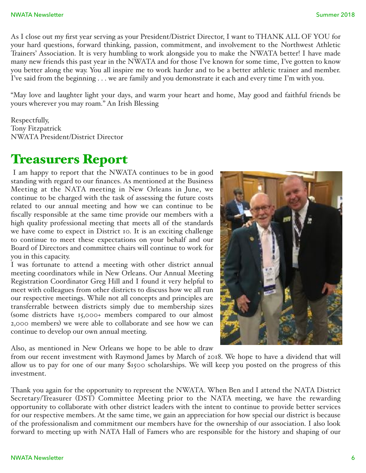As I close out my first year serving as your President/District Director, I want to THANK ALL OF YOU for your hard questions, forward thinking, passion, commitment, and involvement to the Northwest Athletic Trainers' Association. It is very humbling to work alongside you to make the NWATA better! I have made many new friends this past year in the NWATA and for those I've known for some time, I've gotten to know you better along the way. You all inspire me to work harder and to be a better athletic trainer and member. I've said from the beginning . . . we are family and you demonstrate it each and every time I'm with you.

"May love and laughter light your days, and warm your heart and home, May good and faithful friends be yours wherever you may roam." An Irish Blessing

Respectfully, Tony Fitzpatrick NWATA President/District Director

# Treasurers Report

 I am happy to report that the NWATA continues to be in good standing with regard to our finances. As mentioned at the Business Meeting at the NATA meeting in New Orleans in June, we continue to be charged with the task of assessing the future costs related to our annual meeting and how we can continue to be fiscally responsible at the same time provide our members with a high quality professional meeting that meets all of the standards we have come to expect in District 10. It is an exciting challenge to continue to meet these expectations on your behalf and our Board of Directors and committee chairs will continue to work for you in this capacity.

I was fortunate to attend a meeting with other district annual meeting coordinators while in New Orleans. Our Annual Meeting Registration Coordinator Greg Hill and I found it very helpful to meet with colleagues from other districts to discuss how we all run our respective meetings. While not all concepts and principles are transferrable between districts simply due to membership sizes (some districts have 15,000+ members compared to our almost 2,000 members) we were able to collaborate and see how we can continue to develop our own annual meeting.

Also, as mentioned in New Orleans we hope to be able to draw

from our recent investment with Raymond James by March of 2018. We hope to have a dividend that will allow us to pay for one of our many \$1500 scholarships. We will keep you posted on the progress of this investment.

Thank you again for the opportunity to represent the NWATA. When Ben and I attend the NATA District Secretary/Treasurer (DST) Committee Meeting prior to the NATA meeting, we have the rewarding opportunity to collaborate with other district leaders with the intent to continue to provide better services for our respective members. At the same time, we gain an appreciation for how special our district is because of the professionalism and commitment our members have for the ownership of our association. I also look forward to meeting up with NATA Hall of Famers who are responsible for the history and shaping of our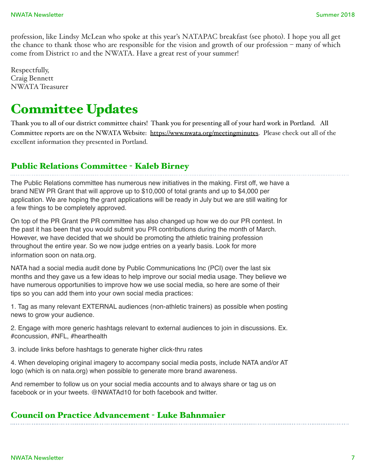profession, like Lindsy McLean who spoke at this year's NATAPAC breakfast (see photo). I hope you all get the chance to thank those who are responsible for the vision and growth of our profession – many of which come from District 10 and the NWATA. Have a great rest of your summer!

Respectfully, Craig Bennett NWATA Treasurer

# Committee Updates

Thank you to all of our district committee chairs! Thank you for presenting all of your hard work in Portland. All Committee reports are on the NWATA Website: <https://www.nwata.org/meetingminutes>. Please check out all of the excellent information they presented in Portland.

# Public Relations Committee - Kaleb Birney

The Public Relations committee has numerous new initiatives in the making. First off, we have a brand NEW PR Grant that will approve up to \$10,000 of total grants and up to \$4,000 per application. We are hoping the grant applications will be ready in July but we are still waiting for a few things to be completely approved.

On top of the PR Grant the PR committee has also changed up how we do our PR contest. In the past it has been that you would submit you PR contributions during the month of March. However, we have decided that we should be promoting the athletic training profession throughout the entire year. So we now judge entries on a yearly basis. Look for more information soon on nata.org.

NATA had a social media audit done by Public Communications Inc (PCI) over the last six months and they gave us a few ideas to help improve our social media usage. They believe we have numerous opportunities to improve how we use social media, so here are some of their tips so you can add them into your own social media practices:

1. Tag as many relevant EXTERNAL audiences (non-athletic trainers) as possible when posting news to grow your audience.

2. Engage with more generic hashtags relevant to external audiences to join in discussions. Ex. #concussion, #NFL, #hearthealth

3. include links before hashtags to generate higher click-thru rates

4. When developing original imagery to accompany social media posts, include NATA and/or AT logo (which is on nata.org) when possible to generate more brand awareness.

And remember to follow us on your social media accounts and to always share or tag us on facebook or in your tweets. @NWATAd10 for both facebook and twitter.

### Council on Practice Advancement - Luke Bahnmaier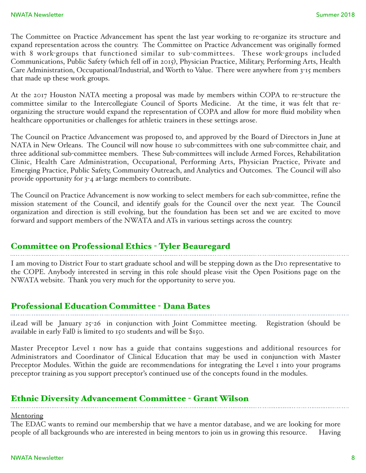The Committee on Practice Advancement has spent the last year working to re-organize its structure and expand representation across the country. The Committee on Practice Advancement was originally formed with 8 work-groups that functioned similar to sub-committees. These work-groups included Communications, Public Safety (which fell off in 2015), Physician Practice, Military, Performing Arts, Health Care Administration, Occupational/Industrial, and Worth to Value. There were anywhere from 3-15 members that made up these work groups.

At the 2017 Houston NATA meeting a proposal was made by members within COPA to re-structure the committee similar to the Intercollegiate Council of Sports Medicine. At the time, it was felt that reorganizing the structure would expand the representation of COPA and allow for more fluid mobility when healthcare opportunities or challenges for athletic trainers in these settings arose.

The Council on Practice Advancement was proposed to, and approved by the Board of Directors in June at NATA in New Orleans. The Council will now house 10 sub-committees with one sub-committee chair, and three additional sub-committee members. These Sub-committees will include Armed Forces, Rehabilitation Clinic, Health Care Administration, Occupational, Performing Arts, Physician Practice, Private and Emerging Practice, Public Safety, Community Outreach, and Analytics and Outcomes. The Council will also provide opportunity for 3-4 at-large members to contribute.

The Council on Practice Advancement is now working to select members for each sub-committee, refine the mission statement of the Council, and identify goals for the Council over the next year. The Council organization and direction is still evolving, but the foundation has been set and we are excited to move forward and support members of the NWATA and ATs in various settings across the country.

# Committee on Professional Ethics - Tyler Beauregard

I am moving to District Four to start graduate school and will be stepping down as the D10 representative to the COPE. Anybody interested in serving in this role should please visit the Open Positions page on the NWATA website. Thank you very much for the opportunity to serve you.

# Professional Education Committee - Dana Bates

iLead will be January 25-26 in conjunction with Joint Committee meeting. Registration (should be available in early Fall) is limited to 150 students and will be \$150.

Master Preceptor Level 1 now has a guide that contains suggestions and additional resources for Administrators and Coordinator of Clinical Education that may be used in conjunction with Master Preceptor Modules. Within the guide are recommendations for integrating the Level I into your programs preceptor training as you support preceptor's continued use of the concepts found in the modules.

# Ethnic Diversity Advancement Committee - Grant Wilson

**Mentoring** 

The EDAC wants to remind our membership that we have a mentor database, and we are looking for more people of all backgrounds who are interested in being mentors to join us in growing this resource. Having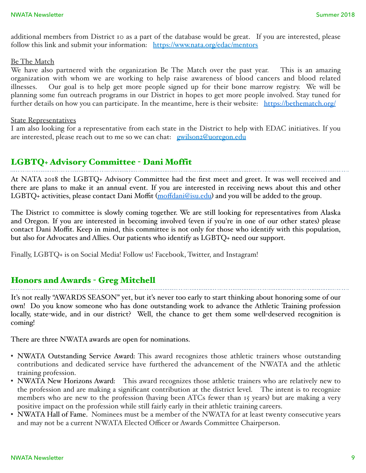additional members from District 10 as a part of the database would be great. If you are interested, please follow this link and submit your information: [https://www.nata.org/edac/mentors](https://www.nata.org/edac/mentors%22%20%5Ct%20%22_blank)

#### Be The Match

We have also partnered with the organization Be The Match over the past year. This is an amazing organization with whom we are working to help raise awareness of blood cancers and blood related illnesses. Our goal is to help get more people signed up for their bone marrow registry. We will be planning some fun outreach programs in our District in hopes to get more people involved. Stay tuned for further details on how you can participate. In the meantime, here is their website: [https://bethematch.org/](https://bethematch.org/%22%20%5Ct%20%22_blank)

#### State Representatives

I am also looking for a representative from each state in the District to help with EDAC initiatives. If you are interested, please reach out to me so we can chat: <u>ewilson2@uoregon.edu</u>

#### LGBTQ+ Advisory Committee - Dani Moffit

At NATA 2018 the LGBTQ+ Advisory Committee had the first meet and greet. It was well received and there are plans to make it an annual event. If you are interested in receiving news about this and other LGBTQ+ activities, please contact Dani Moffit (moff[dani@isu.edu](mailto:moffdani@isu.edu%22%20%5Ct%20%22_blank)) and you will be added to the group.

The District 10 committee is slowly coming together. We are still looking for representatives from Alaska and Oregon. If you are interested in becoming involved (even if you're in one of our other states) please contact Dani Moffit. Keep in mind, this committee is not only for those who identify with this population, but also for Advocates and Allies. Our patients who identify as LGBTQ+ need our support.

Finally, LGBTQ+ is on Social Media! Follow us! Facebook, Twitter, and Instagram!

#### Honors and Awards - Greg Mitchell

It's not really "AWARDS SEASON" yet, but it's never too early to start thinking about honoring some of our own! Do you know someone who has done outstanding work to advance the Athletic Training profession locally, state-wide, and in our district? Well, the chance to get them some well-deserved recognition is coming!

There are three NWATA awards are open for nominations.

- NWATA Outstanding Service Award: This award recognizes those athletic trainers whose outstanding contributions and dedicated service have furthered the advancement of the NWATA and the athletic training profession.
- NWATA New Horizons Award: This award recognizes those athletic trainers who are relatively new to the profession and are making a significant contribution at the district level. The intent is to recognize members who are new to the profession (having been ATCs fewer than 15 years) but are making a very positive impact on the profession while still fairly early in their athletic training careers.
- NWATA Hall of Fame. Nominees must be a member of the NWATA for at least twenty consecutive years and may not be a current NWATA Elected Officer or Awards Committee Chairperson.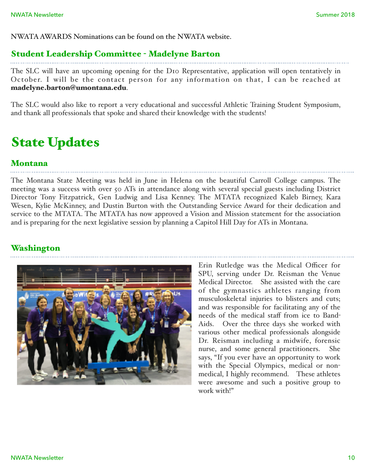NWATA AWARDS Nominations can be found on the NWATA website.

### Student Leadership Committee - Madelyne Barton

The SLC will have an upcoming opening for the D10 Representative, application will open tentatively in October. I will be the contact person for any information on that, I can be reached at [madelyne.barton@umontana.edu](mailto:madelyne.barton@umontana.edu%22%20%5Ct%20%22_blank).

The SLC would also like to report a very educational and successful Athletic Training Student Symposium, and thank all professionals that spoke and shared their knowledge with the students!

# State Updates

### Montana

The Montana State Meeting was held in June in Helena on the beautiful Carroll College campus. The meeting was a success with over 50 ATs in attendance along with several special guests including District Director Tony Fitzpatrick, Gen Ludwig and Lisa Kenney. The MTATA recognized Kaleb Birney, Kara Wesen, Kylie McKinney, and Dustin Burton with the Outstanding Service Award for their dedication and service to the MTATA. The MTATA has now approved a Vision and Mission statement for the association and is preparing for the next legislative session by planning a Capitol Hill Day for ATs in Montana.

### Washington



Erin Rutledge was the Medical Officer for SPU, serving under Dr. Reisman the Venue Medical Director. She assisted with the care of the gymnastics athletes ranging from musculoskeletal injuries to blisters and cuts; and was responsible for facilitating any of the needs of the medical staff from ice to Band-Aids. Over the three days she worked with various other medical professionals alongside Dr. Reisman including a midwife, forensic nurse, and some general practitioners. She says, "If you ever have an opportunity to work with the Special Olympics, medical or nonmedical, I highly recommend. These athletes were awesome and such a positive group to work with!"